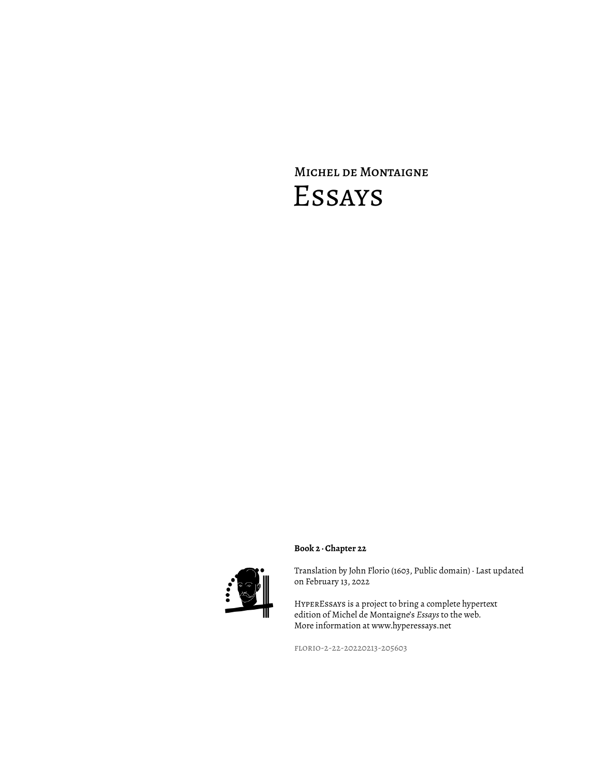## Michel de Montaigne Essays



Translation by John Florio (1603, Public domain) · Last updated on February 13, 2022

HyperEssays is a project to bring a complete hypertext edition of Michel de Montaigne's *Essays* to the web. More information at www.hyperessays.net

florio-2-22-20220213-205603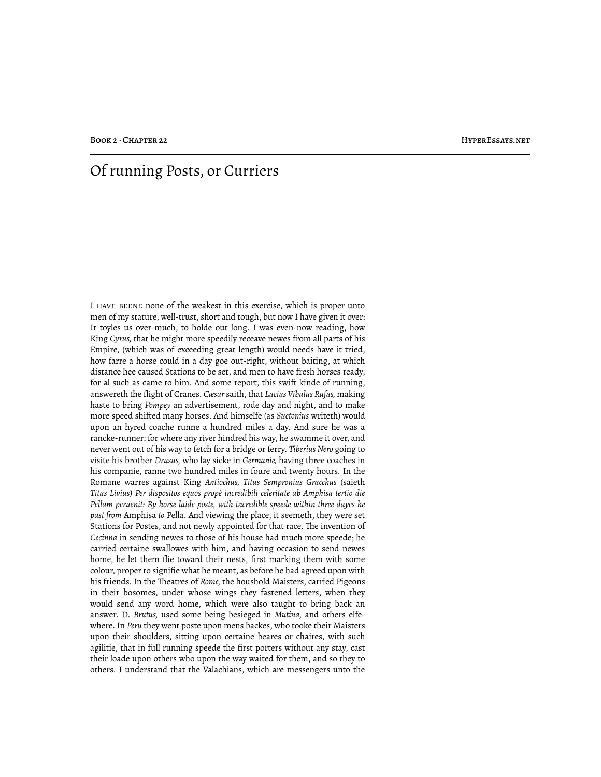## Of running Posts, or Curriers

I have beene none of the weakest in this exercise, which is proper unto men of my stature, well-trust, short and tough, but now I have given it over: It toyles us over-much, to holde out long. I was even-now reading, how King *Cyrus,* that he might more speedily receave newes from all parts of his Empire, (which was of exceeding great length) would needs have it tried, how farre a horse could in a day goe out-right, without baiting, at which distance hee caused Stations to be set, and men to have fresh horses ready, for al such as came to him. And some report, this swift kinde of running, answereth the flight of Cranes. *Cæsar* saith, that *Lucius Vibulus Rufus,* making haste to bring *Pompey* an advertisement, rode day and night, and to make more speed shifted many horses. And himselfe (as *Suetonius* writeth) would upon an hyred coache runne a hundred miles a day. And sure he was a rancke-runner: for where any river hindred his way, he swamme it over, and never went out of his way to fetch for a bridge or ferry. *Tiberius Nero* going to visite his brother *Drusus,* who lay sicke in *Germanie,* having three coaches in his companie, ranne two hundred miles in foure and twenty hours. In the Romane warres against King *Antiochus, Titus Sempronius Gracchus* (saieth *Titus Livius) Per dispositos equos propè incredibili celeritate ab Amphisa tertio die Pellam peruenit: By horse laide poste, with incredible speede within three dayes he past from* Amphisa *to* Pella. And viewing the place, it seemeth, they were set Stations for Postes, and not newly appointed for that race. The invention of *Cecinna* in sending newes to those of his house had much more speede; he carried certaine swallowes with him, and having occasion to send newes home, he let them flie toward their nests, first marking them with some colour, proper to signifie what he meant, as before he had agreed upon with his friends. In the Theatres of *Rome*, the houshold Maisters, carried Pigeons in their bosomes, under whose wings they fastened letters, when they would send any word home, which were also taught to bring back an answer. D. *Brutus,* used some being besieged in *Mutina,* and others elfewhere. In *Peru* they went poste upon mens backes, who tooke their Maisters upon their shoulders, sitting upon certaine beares or chaires, with such agilitie, that in full running speede the first porters without any stay, cast their loade upon others who upon the way waited for them, and so they to others. I understand that the Valachians, which are messengers unto the